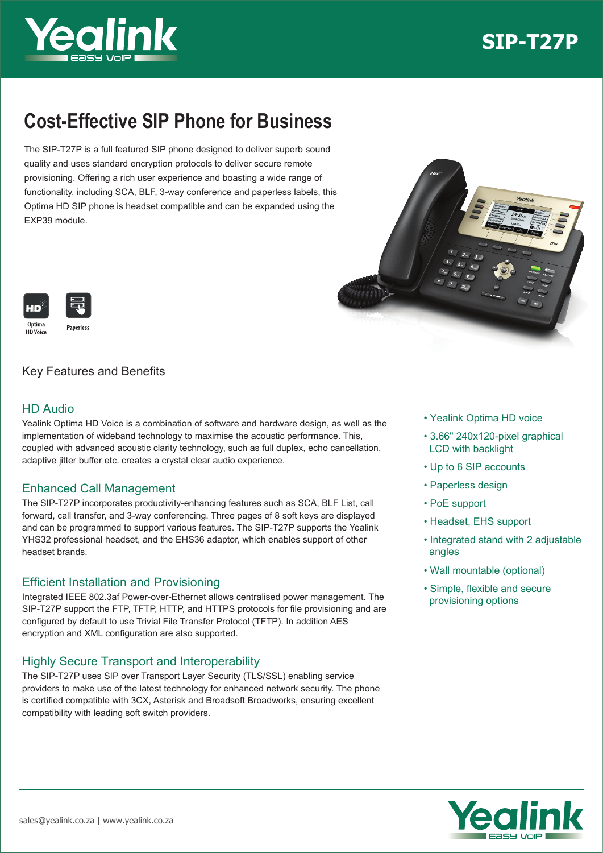



# **Cost-Effective SIP Phone for Business**

The SIP-T27P is a full featured SIP phone designed to deliver superb sound quality and uses standard encryption protocols to deliver secure remote provisioning. Offering a rich user experience and boasting a wide range of functionality, including SCA, BLF, 3-way conference and paperless labels, this Optima HD SIP phone is headset compatible and can be expanded using the EXP39 module.





# Key Features and Benefits

## HD Audio

Yealink Optima HD Voice is a combination of software and hardware design, as well as the implementation of wideband technology to maximise the acoustic performance. This, coupled with advanced acoustic clarity technology, such as full duplex, echo cancellation, adaptive jitter buffer etc. creates a crystal clear audio experience.

## Enhanced Call Management

The SIP-T27P incorporates productivity-enhancing features such as SCA, BLF List, call forward, call transfer, and 3-way conferencing. Three pages of 8 soft keys are displayed and can be programmed to support various features. The SIP-T27P supports the Yealink YHS32 professional headset, and the EHS36 adaptor, which enables support of other headset brands.

## Efficient Installation and Provisioning

Integrated IEEE 802.3af Power-over-Ethernet allows centralised power management. The SIP-T27P support the FTP, TFTP, HTTP, and HTTPS protocols for file provisioning and are configured by default to use Trivial File Transfer Protocol (TFTP). In addition AES encryption and XML configuration are also supported.

# Highly Secure Transport and Interoperability

The SIP-T27P uses SIP over Transport Layer Security (TLS/SSL) enabling service providers to make use of the latest technology for enhanced network security. The phone is certified compatible with 3CX, Asterisk and Broadsoft Broadworks, ensuring excellent compatibility with leading soft switch providers.

- Yealink Optima HD voice
- 3.66" 240x120-pixel graphical LCD with backlight
- Up to 6 SIP accounts
- Paperless design
- PoE support
- Headset, EHS support
- Integrated stand with 2 adjustable angles
- Wall mountable (optional)
- Simple, flexible and secure provisioning options